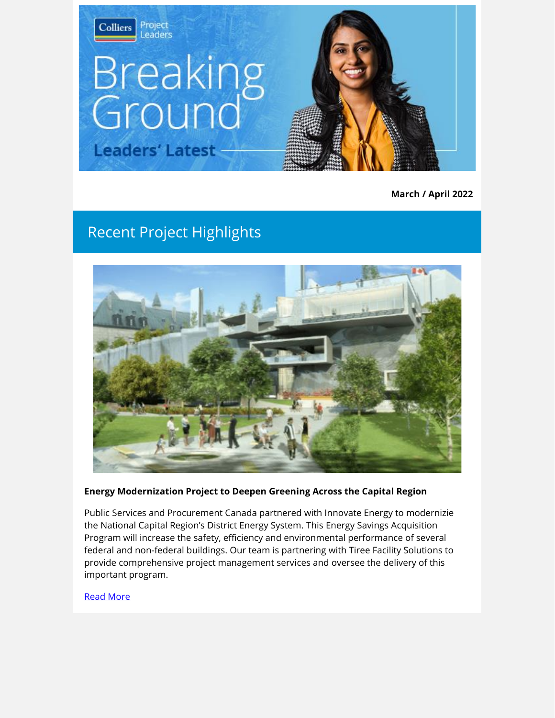

**March / April 2022**

## Recent Project Highlights



#### **Energy Modernization Project to Deepen Greening Across the Capital Region**

Public Services and Procurement Canada partnered with Innovate Energy to modernizie the National Capital Region's District Energy System. This Energy Savings Acquisition Program will increase the safety, efficiency and environmental performance of several federal and non-federal buildings. Our team is partnering with Tiree Facility Solutions to provide comprehensive project management services and oversee the delivery of this important program.

#### [Read More](http://link.colliersprojectleaders.com/c/7/eyJhaSI6MjM3NzQzNzUsImUiOiJrYXRyaW5hLmZpbm5pZ2FuQGNvbGxpZXJzcHJvamVjdGxlYWRlcnMuY29tIiwicmkiOiJsZWFkLTlmODc1Y2QzNjdmZmVhMTFhODEyMDAwZDNhMGM4M2JmLWJmODUxMTRlOTk5MjQ5NTNhMjExYWM4NDFhZGVmM2NmIiwicnEiOiIwMi1iMjIwODgtMGRhY2ZhYjA3OTRiNGFmY2E2NDdkZTgwOTFlNTA2ZjciLCJwaCI6bnVsbCwibSI6ZmFsc2UsInVpIjoiMiIsInVuIjoiIiwidSI6Imh0dHBzOi8vd3d3LmNvbGxpZXJzcHJvamVjdGxlYWRlcnMuY29tL3Byb2plY3RzL2VuZXJneS1tb2Rlcm5pemF0aW9uLXByb2plY3QtdG8tZGVlcGVuLWdyZWVuaW5nLWFjcm9zcy10aGUtbmNyLz91dG1fc291cmNlPWJyZWFraW5nZ3JvdW5kMTAmdXRtX21lZGl1bT1lbWFpbCZ1dG1fY2FtcGFpZ249bWFyMjkmX2NsZGVlPTZyQXllNlFZQm5iQ3dNTmRFYWt3d1l6QW92b2pZZFEzelh2NWFTXzhXaXpXYmpCNWU5Uld1dldtQ3VVdUNuWURnc3lQQzB3S2RNRGxZRU1RSWVUSXNnJnJlY2lwaWVudGlkPWxlYWQtOWY4NzVjZDM2N2ZmZWExMWE4MTIwMDBkM2EwYzgzYmYtYmY4NTExNGU5OTkyNDk1M2EyMTFhYzg0MWFkZWYzY2YmZXNpZD1lM2U1ZDM4Ny02N2FmLWVjMTEtOTg0MC0wMDIyNDhhZGU4ZDgifQ/_AFSC0WnhZgKGfQ44g0_EQ)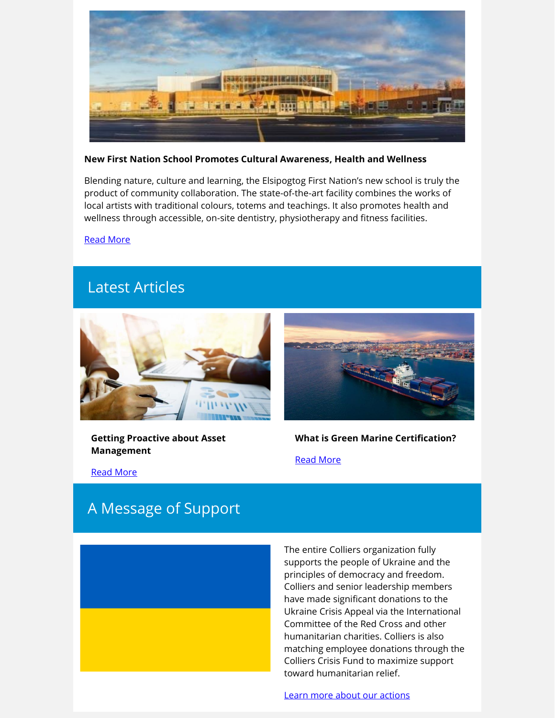

#### **New First Nation School Promotes Cultural Awareness, Health and Wellness**

Blending nature, culture and learning, the Elsipogtog First Nation's new school is truly the product of community collaboration. The state-of-the-art facility combines the works of local artists with traditional colours, totems and teachings. It also promotes health and wellness through accessible, on-site dentistry, physiotherapy and fitness facilities.

[Read More](http://link.colliersprojectleaders.com/c/7/eyJhaSI6MjM3NzQzNzUsImUiOiJrYXRyaW5hLmZpbm5pZ2FuQGNvbGxpZXJzcHJvamVjdGxlYWRlcnMuY29tIiwicmkiOiJsZWFkLTlmODc1Y2QzNjdmZmVhMTFhODEyMDAwZDNhMGM4M2JmLWJmODUxMTRlOTk5MjQ5NTNhMjExYWM4NDFhZGVmM2NmIiwicnEiOiIwMi1iMjIwODgtMGRhY2ZhYjA3OTRiNGFmY2E2NDdkZTgwOTFlNTA2ZjciLCJwaCI6bnVsbCwibSI6ZmFsc2UsInVpIjoiNSIsInVuIjoiIiwidSI6Imh0dHBzOi8vd3d3LmNvbGxpZXJzcHJvamVjdGxlYWRlcnMuY29tL3Byb2plY3RzL25ldy1maXJzdC1uYXRpb24tc2Nob29sLXByb21vdGVzLWN1bHR1cmFsLWF3YXJlbmVzcy1oZWFsdGgtYW5kLXdlbGxuZXNzLz91dG1fc291cmNlPWJyZWFraW5nZ3JvdW5kMTAmdXRtX21lZGl1bT1lbWFpbCZ1dG1fY2FtcGFpZ249bWFyMjkmX2NsZGVlPTZyQXllNlFZQm5iQ3dNTmRFYWt3d1l6QW92b2pZZFEzelh2NWFTXzhXaXpXYmpCNWU5Uld1dldtQ3VVdUNuWURnc3lQQzB3S2RNRGxZRU1RSWVUSXNnJnJlY2lwaWVudGlkPWxlYWQtOWY4NzVjZDM2N2ZmZWExMWE4MTIwMDBkM2EwYzgzYmYtYmY4NTExNGU5OTkyNDk1M2EyMTFhYzg0MWFkZWYzY2YmZXNpZD1lM2U1ZDM4Ny02N2FmLWVjMTEtOTg0MC0wMDIyNDhhZGU4ZDgifQ/KjzvWASeIQpGQ0VD_4glyw)

## Latest Articles



**Getting Proactive about Asset Management**



## **What is Green Marine Certification?**

[Read More](http://link.colliersprojectleaders.com/c/7/eyJhaSI6MjM3NzQzNzUsImUiOiJrYXRyaW5hLmZpbm5pZ2FuQGNvbGxpZXJzcHJvamVjdGxlYWRlcnMuY29tIiwicmkiOiJsZWFkLTlmODc1Y2QzNjdmZmVhMTFhODEyMDAwZDNhMGM4M2JmLWJmODUxMTRlOTk5MjQ5NTNhMjExYWM4NDFhZGVmM2NmIiwicnEiOiIwMi1iMjIwODgtMGRhY2ZhYjA3OTRiNGFmY2E2NDdkZTgwOTFlNTA2ZjciLCJwaCI6bnVsbCwibSI6ZmFsc2UsInVpIjoiMTEiLCJ1biI6IiIsInUiOiJodHRwczovL3d3dy5jb2xsaWVyc3Byb2plY3RsZWFkZXJzLmNvbS9pbnNpZ2h0cy9ncmVlbi1tYXJpbmUtY2VydGlmaWNhdGlvbi13aGF0LWlzLWl0LWFuZC1ob3ctY2FuLWEtcGFydG5lci1oZWxwLz91dG1fc291cmNlPWJyZWFraW5nZ3JvdW5kMTAmdXRtX21lZGl1bT1lbWFpbCZ1dG1fY2FtcGFpZ249bWFyMjkmX2NsZGVlPTZyQXllNlFZQm5iQ3dNTmRFYWt3d1l6QW92b2pZZFEzelh2NWFTXzhXaXpXYmpCNWU5Uld1dldtQ3VVdUNuWURnc3lQQzB3S2RNRGxZRU1RSWVUSXNnJnJlY2lwaWVudGlkPWxlYWQtOWY4NzVjZDM2N2ZmZWExMWE4MTIwMDBkM2EwYzgzYmYtYmY4NTExNGU5OTkyNDk1M2EyMTFhYzg0MWFkZWYzY2YmZXNpZD1lM2U1ZDM4Ny02N2FmLWVjMTEtOTg0MC0wMDIyNDhhZGU4ZDgifQ/cB3xBMwSuBaGbHo9ZS38Vw)

[Read More](http://link.colliersprojectleaders.com/c/7/eyJhaSI6MjM3NzQzNzUsImUiOiJrYXRyaW5hLmZpbm5pZ2FuQGNvbGxpZXJzcHJvamVjdGxlYWRlcnMuY29tIiwicmkiOiJsZWFkLTlmODc1Y2QzNjdmZmVhMTFhODEyMDAwZDNhMGM4M2JmLWJmODUxMTRlOTk5MjQ5NTNhMjExYWM4NDFhZGVmM2NmIiwicnEiOiIwMi1iMjIwODgtMGRhY2ZhYjA3OTRiNGFmY2E2NDdkZTgwOTFlNTA2ZjciLCJwaCI6bnVsbCwibSI6ZmFsc2UsInVpIjoiOCIsInVuIjoiIiwidSI6Imh0dHBzOi8vd3d3LmNvbGxpZXJzcHJvamVjdGxlYWRlcnMuY29tL2luc2lnaHRzL2dldHRpbmctcHJvYWN0aXZlLWFib3V0LW11bmljaXBhbC1hc3NldC1tYW5hZ2VtZW50Lz91dG1fc291cmNlPWJyZWFraW5nZ3JvdW5kMTAmdXRtX21lZGl1bT1lbWFpbCZ1dG1fY2FtcGFpZ249bWFyMjkmX2NsZGVlPTZyQXllNlFZQm5iQ3dNTmRFYWt3d1l6QW92b2pZZFEzelh2NWFTXzhXaXpXYmpCNWU5Uld1dldtQ3VVdUNuWURnc3lQQzB3S2RNRGxZRU1RSWVUSXNnJnJlY2lwaWVudGlkPWxlYWQtOWY4NzVjZDM2N2ZmZWExMWE4MTIwMDBkM2EwYzgzYmYtYmY4NTExNGU5OTkyNDk1M2EyMTFhYzg0MWFkZWYzY2YmZXNpZD1lM2U1ZDM4Ny02N2FmLWVjMTEtOTg0MC0wMDIyNDhhZGU4ZDgifQ/7ZFpvWD3HWd32on72nubaA) 

## A Message of Support

The entire Colliers organization fully supports the people of Ukraine and the principles of democracy and freedom. Colliers and senior leadership members have made significant donations to the Ukraine Crisis Appeal via the International Committee of the Red Cross and other humanitarian charities. Colliers is also matching employee donations through the Colliers Crisis Fund to maximize support toward humanitarian relief.

[Learn more about our actions](http://link.colliersprojectleaders.com/c/7/eyJhaSI6MjM3NzQzNzUsImUiOiJrYXRyaW5hLmZpbm5pZ2FuQGNvbGxpZXJzcHJvamVjdGxlYWRlcnMuY29tIiwicmkiOiJsZWFkLTlmODc1Y2QzNjdmZmVhMTFhODEyMDAwZDNhMGM4M2JmLWJmODUxMTRlOTk5MjQ5NTNhMjExYWM4NDFhZGVmM2NmIiwicnEiOiIwMi1iMjIwODgtMGRhY2ZhYjA3OTRiNGFmY2E2NDdkZTgwOTFlNTA2ZjciLCJwaCI6bnVsbCwibSI6ZmFsc2UsInVpIjoiMTIiLCJ1biI6IiIsInUiOiJodHRwczovL2NvcnBvcmF0ZS5jb2xsaWVycy5jb20vZW4vbmV3c3Jvb20vY29sbGllcnMtZGlzY29udGludWVzLW9wZXJhdGlvbnMtaW4tcnVzc2lhLWFuZC1iZWxhcnVzLz91dG1fc291cmNlPWJyZWFraW5nZ3JvdW5kMTAmdXRtX21lZGl1bT1lbWFpbCZ1dG1fY2FtcGFpZ249bWFyMjkmX2NsZGVlPTZyQXllNlFZQm5iQ3dNTmRFYWt3d1l6QW92b2pZZFEzelh2NWFTXzhXaXpXYmpCNWU5Uld1dldtQ3VVdUNuWURnc3lQQzB3S2RNRGxZRU1RSWVUSXNnJnJlY2lwaWVudGlkPWxlYWQtOWY4NzVjZDM2N2ZmZWExMWE4MTIwMDBkM2EwYzgzYmYtYmY4NTExNGU5OTkyNDk1M2EyMTFhYzg0MWFkZWYzY2YmZXNpZD1lM2U1ZDM4Ny02N2FmLWVjMTEtOTg0MC0wMDIyNDhhZGU4ZDgifQ/aBCFlghTnmrFP-xnxfCQDw)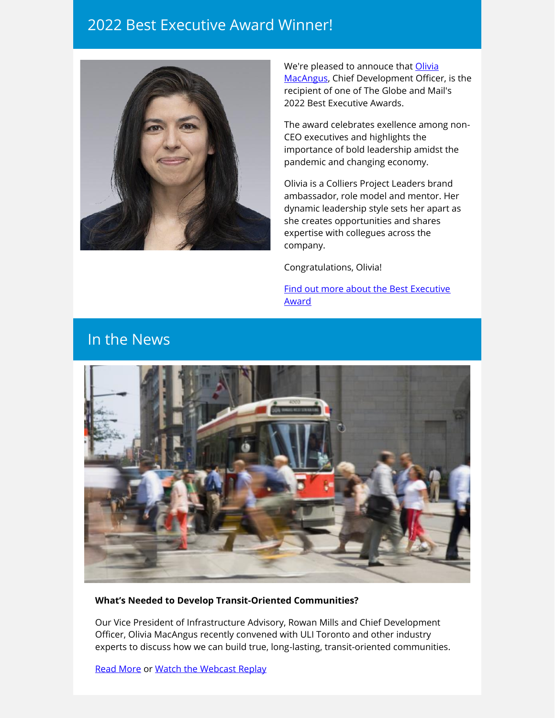### 2022 Best Executive Award Winner!



We're pleased to annouce that [Olivia](http://link.colliersprojectleaders.com/c/7/eyJhaSI6MjM3NzQzNzUsImUiOiJrYXRyaW5hLmZpbm5pZ2FuQGNvbGxpZXJzcHJvamVjdGxlYWRlcnMuY29tIiwicmkiOiJsZWFkLTlmODc1Y2QzNjdmZmVhMTFhODEyMDAwZDNhMGM4M2JmLWJmODUxMTRlOTk5MjQ5NTNhMjExYWM4NDFhZGVmM2NmIiwicnEiOiIwMi1iMjIwODgtMGRhY2ZhYjA3OTRiNGFmY2E2NDdkZTgwOTFlNTA2ZjciLCJwaCI6bnVsbCwibSI6ZmFsc2UsInVpIjoiMTMiLCJ1biI6IiIsInUiOiJodHRwczovL3d3dy5saW5rZWRpbi5jb20vaW4vb2xpdmlhLW1hY2FuZ3VzLTIwNDU4OTc4Lz9fY2xkZWU9NnJBeWU2UVlCbmJDd01OZEVha3d3WXpBb3ZvallkUTN6WHY1YVNfOFdpeldiakI1ZTlSV3V2V21DdVV1Q25ZRGdzeVBDMHdLZE1EbFlFTVFJZVRJc2cmcmVjaXBpZW50aWQ9bGVhZC05Zjg3NWNkMzY3ZmZlYTExYTgxMjAwMGQzYTBjODNiZi1iZjg1MTE0ZTk5OTI0OTUzYTIxMWFjODQxYWRlZjNjZiZlc2lkPWUzZTVkMzg3LTY3YWYtZWMxMS05ODQwLTAwMjI0OGFkZThkOCJ9/P02IEafVtTdfp-ca9dVFLg)  [MacAngus,](http://link.colliersprojectleaders.com/c/7/eyJhaSI6MjM3NzQzNzUsImUiOiJrYXRyaW5hLmZpbm5pZ2FuQGNvbGxpZXJzcHJvamVjdGxlYWRlcnMuY29tIiwicmkiOiJsZWFkLTlmODc1Y2QzNjdmZmVhMTFhODEyMDAwZDNhMGM4M2JmLWJmODUxMTRlOTk5MjQ5NTNhMjExYWM4NDFhZGVmM2NmIiwicnEiOiIwMi1iMjIwODgtMGRhY2ZhYjA3OTRiNGFmY2E2NDdkZTgwOTFlNTA2ZjciLCJwaCI6bnVsbCwibSI6ZmFsc2UsInVpIjoiMTMiLCJ1biI6IiIsInUiOiJodHRwczovL3d3dy5saW5rZWRpbi5jb20vaW4vb2xpdmlhLW1hY2FuZ3VzLTIwNDU4OTc4Lz9fY2xkZWU9NnJBeWU2UVlCbmJDd01OZEVha3d3WXpBb3ZvallkUTN6WHY1YVNfOFdpeldiakI1ZTlSV3V2V21DdVV1Q25ZRGdzeVBDMHdLZE1EbFlFTVFJZVRJc2cmcmVjaXBpZW50aWQ9bGVhZC05Zjg3NWNkMzY3ZmZlYTExYTgxMjAwMGQzYTBjODNiZi1iZjg1MTE0ZTk5OTI0OTUzYTIxMWFjODQxYWRlZjNjZiZlc2lkPWUzZTVkMzg3LTY3YWYtZWMxMS05ODQwLTAwMjI0OGFkZThkOCJ9/P02IEafVtTdfp-ca9dVFLg) Chief Development Officer, is the recipient of one of The Globe and Mail's 2022 Best Executive Awards.

The award celebrates exellence among non-CEO executives and highlights the importance of bold leadership amidst the pandemic and changing economy.

Olivia is a Colliers Project Leaders brand ambassador, role model and mentor. Her dynamic leadership style sets her apart as she creates opportunities and shares expertise with collegues across the company.

Congratulations, Olivia!

[Find out more about the Best Executive](http://link.colliersprojectleaders.com/c/7/eyJhaSI6MjM3NzQzNzUsImUiOiJrYXRyaW5hLmZpbm5pZ2FuQGNvbGxpZXJzcHJvamVjdGxlYWRlcnMuY29tIiwicmkiOiJsZWFkLTlmODc1Y2QzNjdmZmVhMTFhODEyMDAwZDNhMGM4M2JmLWJmODUxMTRlOTk5MjQ5NTNhMjExYWM4NDFhZGVmM2NmIiwicnEiOiIwMi1iMjIwODgtMGRhY2ZhYjA3OTRiNGFmY2E2NDdkZTgwOTFlNTA2ZjciLCJwaCI6bnVsbCwibSI6ZmFsc2UsInVpIjoiMTQiLCJ1biI6IiIsInUiOiJodHRwczovL3d3dy5jb2xsaWVyc3Byb2plY3RsZWFkZXJzLmNvbS9uZXdzL29saXZpYS1tYWNhbmd1cy13aW5zLXRoZS1nbG9iZS1hbmQtbWFpbHMtMjAyMi1iZXN0LWV4ZWN1dGl2ZS1hd2FyZC8_dXRtX3NvdXJjZT1icmVha2luZ2dyb3VuZDEwJnV0bV9tZWRpdW09ZW1haWwmdXRtX2NhbXBhaWduPW1hcjI5Jl9jbGRlZT02ckF5ZTZRWUJuYkN3TU5kRWFrd3dZekFvdm9qWWRRM3pYdjVhU184V2l6V2JqQjVlOVJXdXZXbUN1VXVDbllEZ3N5UEMwd0tkTURsWUVNUUllVElzZyZyZWNpcGllbnRpZD1sZWFkLTlmODc1Y2QzNjdmZmVhMTFhODEyMDAwZDNhMGM4M2JmLWJmODUxMTRlOTk5MjQ5NTNhMjExYWM4NDFhZGVmM2NmJmVzaWQ9ZTNlNWQzODctNjdhZi1lYzExLTk4NDAtMDAyMjQ4YWRlOGQ4In0/VoqrtguzeNummCejVgbd0Q)  [Award](http://link.colliersprojectleaders.com/c/7/eyJhaSI6MjM3NzQzNzUsImUiOiJrYXRyaW5hLmZpbm5pZ2FuQGNvbGxpZXJzcHJvamVjdGxlYWRlcnMuY29tIiwicmkiOiJsZWFkLTlmODc1Y2QzNjdmZmVhMTFhODEyMDAwZDNhMGM4M2JmLWJmODUxMTRlOTk5MjQ5NTNhMjExYWM4NDFhZGVmM2NmIiwicnEiOiIwMi1iMjIwODgtMGRhY2ZhYjA3OTRiNGFmY2E2NDdkZTgwOTFlNTA2ZjciLCJwaCI6bnVsbCwibSI6ZmFsc2UsInVpIjoiMTQiLCJ1biI6IiIsInUiOiJodHRwczovL3d3dy5jb2xsaWVyc3Byb2plY3RsZWFkZXJzLmNvbS9uZXdzL29saXZpYS1tYWNhbmd1cy13aW5zLXRoZS1nbG9iZS1hbmQtbWFpbHMtMjAyMi1iZXN0LWV4ZWN1dGl2ZS1hd2FyZC8_dXRtX3NvdXJjZT1icmVha2luZ2dyb3VuZDEwJnV0bV9tZWRpdW09ZW1haWwmdXRtX2NhbXBhaWduPW1hcjI5Jl9jbGRlZT02ckF5ZTZRWUJuYkN3TU5kRWFrd3dZekFvdm9qWWRRM3pYdjVhU184V2l6V2JqQjVlOVJXdXZXbUN1VXVDbllEZ3N5UEMwd0tkTURsWUVNUUllVElzZyZyZWNpcGllbnRpZD1sZWFkLTlmODc1Y2QzNjdmZmVhMTFhODEyMDAwZDNhMGM4M2JmLWJmODUxMTRlOTk5MjQ5NTNhMjExYWM4NDFhZGVmM2NmJmVzaWQ9ZTNlNWQzODctNjdhZi1lYzExLTk4NDAtMDAyMjQ4YWRlOGQ4In0/VoqrtguzeNummCejVgbd0Q)

## In the News



#### **What's Needed to Develop Transit-Oriented Communities?**

Our Vice President of Infrastructure Advisory, Rowan Mills and Chief Development Officer, Olivia MacAngus recently convened with ULI Toronto and other industry experts to discuss how we can build true, long-lasting, transit-oriented communities.

[Read More](http://link.colliersprojectleaders.com/c/7/eyJhaSI6MjM3NzQzNzUsImUiOiJrYXRyaW5hLmZpbm5pZ2FuQGNvbGxpZXJzcHJvamVjdGxlYWRlcnMuY29tIiwicmkiOiJsZWFkLTlmODc1Y2QzNjdmZmVhMTFhODEyMDAwZDNhMGM4M2JmLWJmODUxMTRlOTk5MjQ5NTNhMjExYWM4NDFhZGVmM2NmIiwicnEiOiIwMi1iMjIwODgtMGRhY2ZhYjA3OTRiNGFmY2E2NDdkZTgwOTFlNTA2ZjciLCJwaCI6bnVsbCwibSI6ZmFsc2UsInVpIjoiMTciLCJ1biI6IiIsInUiOiJodHRwczovL3d3dy5jb2xsaWVyc3Byb2plY3RsZWFkZXJzLmNvbS9uZXdzL3VsaS10b3JvbnRvLXBhbmVsLWRpc2N1c3Nlcy13aGF0cy1uZWVkZWQtdG8tZGV2ZWxvcC10cmFuc2l0LW9yaWVudGVkLWNvbW11bml0aWVzLz91dG1fc291cmNlPWJyZWFraW5nZ3JvdW5kMTAmdXRtX21lZGl1bT1lbWFpbCZ1dG1fY2FtcGFpZ249bWFyMjkmX2NsZGVlPTZyQXllNlFZQm5iQ3dNTmRFYWt3d1l6QW92b2pZZFEzelh2NWFTXzhXaXpXYmpCNWU5Uld1dldtQ3VVdUNuWURnc3lQQzB3S2RNRGxZRU1RSWVUSXNnJnJlY2lwaWVudGlkPWxlYWQtOWY4NzVjZDM2N2ZmZWExMWE4MTIwMDBkM2EwYzgzYmYtYmY4NTExNGU5OTkyNDk1M2EyMTFhYzg0MWFkZWYzY2YmZXNpZD1lM2U1ZDM4Ny02N2FmLWVjMTEtOTg0MC0wMDIyNDhhZGU4ZDgifQ/IQu7S-AhIBGASm6-D-j_Ew) or [Watch the Webcast Replay](http://link.colliersprojectleaders.com/c/7/eyJhaSI6MjM3NzQzNzUsImUiOiJrYXRyaW5hLmZpbm5pZ2FuQGNvbGxpZXJzcHJvamVjdGxlYWRlcnMuY29tIiwicmkiOiJsZWFkLTlmODc1Y2QzNjdmZmVhMTFhODEyMDAwZDNhMGM4M2JmLWJmODUxMTRlOTk5MjQ5NTNhMjExYWM4NDFhZGVmM2NmIiwicnEiOiIwMi1iMjIwODgtMGRhY2ZhYjA3OTRiNGFmY2E2NDdkZTgwOTFlNTA2ZjciLCJwaCI6bnVsbCwibSI6ZmFsc2UsInVpIjoiMTgiLCJ1biI6IiIsInUiOiJodHRwczovL3d3dy55b3V0dWJlLmNvbS93YXRjaD92PWs3QUxhd2FmQXdrJl9jbGRlZT02ckF5ZTZRWUJuYkN3TU5kRWFrd3dZekFvdm9qWWRRM3pYdjVhU184V2l6V2JqQjVlOVJXdXZXbUN1VXVDbllEZ3N5UEMwd0tkTURsWUVNUUllVElzZyZyZWNpcGllbnRpZD1sZWFkLTlmODc1Y2QzNjdmZmVhMTFhODEyMDAwZDNhMGM4M2JmLWJmODUxMTRlOTk5MjQ5NTNhMjExYWM4NDFhZGVmM2NmJmVzaWQ9ZTNlNWQzODctNjdhZi1lYzExLTk4NDAtMDAyMjQ4YWRlOGQ4In0/k2zlIt8vPDank0fhMs0Ecg)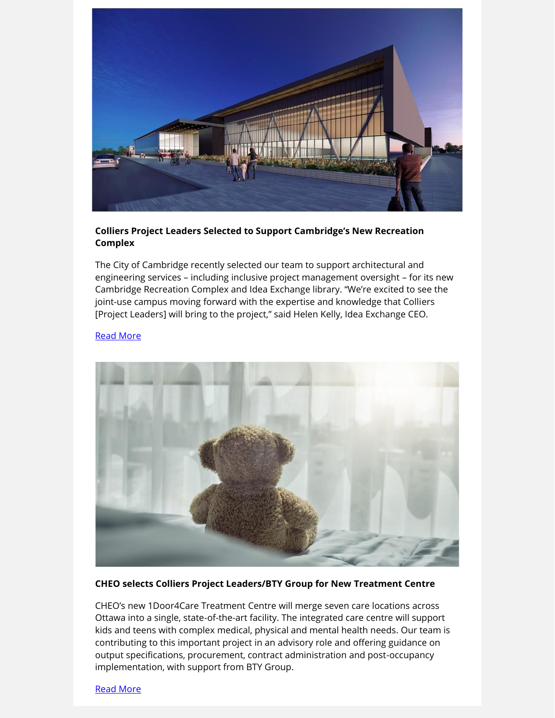

#### **Colliers Project Leaders Selected to Support Cambridge's New Recreation Complex**

The City of Cambridge recently selected our team to support architectural and engineering services – including inclusive project management oversight – for its new Cambridge Recreation Complex and Idea Exchange library. "We're excited to see the joint-use campus moving forward with the expertise and knowledge that Colliers [Project Leaders] will bring to the project," said Helen Kelly, Idea Exchange CEO.

#### [Read More](http://link.colliersprojectleaders.com/c/7/eyJhaSI6MjM3NzQzNzUsImUiOiJrYXRyaW5hLmZpbm5pZ2FuQGNvbGxpZXJzcHJvamVjdGxlYWRlcnMuY29tIiwicmkiOiJsZWFkLTlmODc1Y2QzNjdmZmVhMTFhODEyMDAwZDNhMGM4M2JmLWJmODUxMTRlOTk5MjQ5NTNhMjExYWM4NDFhZGVmM2NmIiwicnEiOiIwMi1iMjIwODgtMGRhY2ZhYjA3OTRiNGFmY2E2NDdkZTgwOTFlNTA2ZjciLCJwaCI6bnVsbCwibSI6ZmFsc2UsInVpIjoiMjEiLCJ1biI6IiIsInUiOiJodHRwczovL3d3dy5yZW5ld2NhbmFkYS5uZXQvNTAwMDA5MDc1MS0yLz9fY2xkZWU9NnJBeWU2UVlCbmJDd01OZEVha3d3WXpBb3ZvallkUTN6WHY1YVNfOFdpeldiakI1ZTlSV3V2V21DdVV1Q25ZRGdzeVBDMHdLZE1EbFlFTVFJZVRJc2cmcmVjaXBpZW50aWQ9bGVhZC05Zjg3NWNkMzY3ZmZlYTExYTgxMjAwMGQzYTBjODNiZi1iZjg1MTE0ZTk5OTI0OTUzYTIxMWFjODQxYWRlZjNjZiZlc2lkPWUzZTVkMzg3LTY3YWYtZWMxMS05ODQwLTAwMjI0OGFkZThkOCJ9/RcuzMwOJ0qIbndY7_ou3OQ)



#### **CHEO selects Colliers Project Leaders/BTY Group for New Treatment Centre**

CHEO's new 1Door4Care Treatment Centre will merge seven care locations across Ottawa into a single, state-of-the-art facility. The integrated care centre will support kids and teens with complex medical, physical and mental health needs. Our team is contributing to this important project in an advisory role and offering guidance on output specifications, procurement, contract administration and post-occupancy implementation, with support from BTY Group.

[Read More](http://link.colliersprojectleaders.com/c/7/eyJhaSI6MjM3NzQzNzUsImUiOiJrYXRyaW5hLmZpbm5pZ2FuQGNvbGxpZXJzcHJvamVjdGxlYWRlcnMuY29tIiwicmkiOiJsZWFkLTlmODc1Y2QzNjdmZmVhMTFhODEyMDAwZDNhMGM4M2JmLWJmODUxMTRlOTk5MjQ5NTNhMjExYWM4NDFhZGVmM2NmIiwicnEiOiIwMi1iMjIwODgtMGRhY2ZhYjA3OTRiNGFmY2E2NDdkZTgwOTFlNTA2ZjciLCJwaCI6bnVsbCwibSI6ZmFsc2UsInVpIjoiMjQiLCJ1biI6IiIsInUiOiJodHRwczovL3d3dy5jb2xsaWVyc3Byb2plY3RsZWFkZXJzLmNvbS9uZXdzL2NoZW8tc2VsZWN0cy1jb2xsaWVycy1wcm9qZWN0LWxlYWRlcnMtYnR5LWdyb3VwLWZvci1uZXctMWRvb3I0Y2FyZS10cmVhdG1lbnQtY2VudHJlLz91dG1fc291cmNlPWJyZWFraW5nZ3JvdW5kMTAmdXRtX21lZGl1bT1lbWFpbCZ1dG1fY2FtcGFpZ249bWFyMjkmX2NsZGVlPTZyQXllNlFZQm5iQ3dNTmRFYWt3d1l6QW92b2pZZFEzelh2NWFTXzhXaXpXYmpCNWU5Uld1dldtQ3VVdUNuWURnc3lQQzB3S2RNRGxZRU1RSWVUSXNnJnJlY2lwaWVudGlkPWxlYWQtOWY4NzVjZDM2N2ZmZWExMWE4MTIwMDBkM2EwYzgzYmYtYmY4NTExNGU5OTkyNDk1M2EyMTFhYzg0MWFkZWYzY2YmZXNpZD1lM2U1ZDM4Ny02N2FmLWVjMTEtOTg0MC0wMDIyNDhhZGU4ZDgifQ/D661kHklzNrHs-KQP5vuUQ)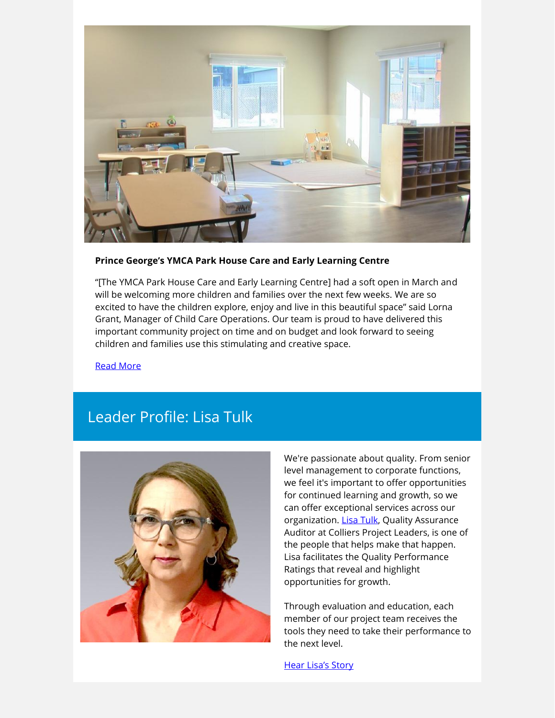

#### **Prince George's YMCA Park House Care and Early Learning Centre**

"[The YMCA Park House Care and Early Learning Centre] had a soft open in March and will be welcoming more children and families over the next few weeks. We are so excited to have the children explore, enjoy and live in this beautiful space" said Lorna Grant, Manager of Child Care Operations. Our team is proud to have delivered this important community project on time and on budget and look forward to seeing children and families use this stimulating and creative space.

[Read More](http://link.colliersprojectleaders.com/c/7/eyJhaSI6MjM3NzQzNzUsImUiOiJrYXRyaW5hLmZpbm5pZ2FuQGNvbGxpZXJzcHJvamVjdGxlYWRlcnMuY29tIiwicmkiOiJsZWFkLTlmODc1Y2QzNjdmZmVhMTFhODEyMDAwZDNhMGM4M2JmLWJmODUxMTRlOTk5MjQ5NTNhMjExYWM4NDFhZGVmM2NmIiwicnEiOiIwMi1iMjIwODgtMGRhY2ZhYjA3OTRiNGFmY2E2NDdkZTgwOTFlNTA2ZjciLCJwaCI6bnVsbCwibSI6ZmFsc2UsInVpIjoiMjciLCJ1biI6IiIsInUiOiJodHRwczovL25ld3MucHJpbmNlZ2VvcmdlLmNhL2VuL25ld3MvZWFybHktbGVhcm5pbmctY2VudHJlLXByb3ZpZGVzLWVzc2VudGlhbC1hY2Nlc3MtdG8tY2hpbGRjYXJlLmFzcHgvP3V0bV9zb3VyY2U9YnJlYWtpbmdncm91bmQxMCZ1dG1fbWVkaXVtPWVtYWlsJnV0bV9jYW1wYWlnbj1tYXIyOSZfY2xkZWU9NnJBeWU2UVlCbmJDd01OZEVha3d3WXpBb3ZvallkUTN6WHY1YVNfOFdpeldiakI1ZTlSV3V2V21DdVV1Q25ZRGdzeVBDMHdLZE1EbFlFTVFJZVRJc2cmcmVjaXBpZW50aWQ9bGVhZC05Zjg3NWNkMzY3ZmZlYTExYTgxMjAwMGQzYTBjODNiZi1iZjg1MTE0ZTk5OTI0OTUzYTIxMWFjODQxYWRlZjNjZiZlc2lkPWUzZTVkMzg3LTY3YWYtZWMxMS05ODQwLTAwMjI0OGFkZThkOCJ9/ONggrT9_a_Piq8OOC_AVRA)

## Leader Profile: Lisa Tulk



We're passionate about quality. From senior level management to corporate functions, we feel it's important to offer opportunities for continued learning and growth, so we can offer exceptional services across our organization. [Lisa Tulk,](http://link.colliersprojectleaders.com/c/7/eyJhaSI6MjM3NzQzNzUsImUiOiJrYXRyaW5hLmZpbm5pZ2FuQGNvbGxpZXJzcHJvamVjdGxlYWRlcnMuY29tIiwicmkiOiJsZWFkLTlmODc1Y2QzNjdmZmVhMTFhODEyMDAwZDNhMGM4M2JmLWJmODUxMTRlOTk5MjQ5NTNhMjExYWM4NDFhZGVmM2NmIiwicnEiOiIwMi1iMjIwODgtMGRhY2ZhYjA3OTRiNGFmY2E2NDdkZTgwOTFlNTA2ZjciLCJwaCI6bnVsbCwibSI6ZmFsc2UsInVpIjoiMzAiLCJ1biI6IiIsInUiOiJodHRwczovL3d3dy5saW5rZWRpbi5jb20vaW4vQUNvQUFCT204clVCQ0E1U1IxZU9TNFVCeGRuMEFKSkVlWVlKVTljP19jbGRlZT02ckF5ZTZRWUJuYkN3TU5kRWFrd3dZekFvdm9qWWRRM3pYdjVhU184V2l6V2JqQjVlOVJXdXZXbUN1VXVDbllEZ3N5UEMwd0tkTURsWUVNUUllVElzZyZyZWNpcGllbnRpZD1sZWFkLTlmODc1Y2QzNjdmZmVhMTFhODEyMDAwZDNhMGM4M2JmLWJmODUxMTRlOTk5MjQ5NTNhMjExYWM4NDFhZGVmM2NmJmVzaWQ9ZTNlNWQzODctNjdhZi1lYzExLTk4NDAtMDAyMjQ4YWRlOGQ4In0/Xh3ZiJpWRf_upSz6RfZfrg) Quality Assurance Auditor at Colliers Project Leaders, is one of the people that helps make that happen. Lisa facilitates the Quality Performance Ratings that reveal and highlight opportunities for growth.

Through evaluation and education, each member of our project team receives the tools they need to take their performance to the next level.

[Hear Lisa's Story](http://link.colliersprojectleaders.com/c/7/eyJhaSI6MjM3NzQzNzUsImUiOiJrYXRyaW5hLmZpbm5pZ2FuQGNvbGxpZXJzcHJvamVjdGxlYWRlcnMuY29tIiwicmkiOiJsZWFkLTlmODc1Y2QzNjdmZmVhMTFhODEyMDAwZDNhMGM4M2JmLWJmODUxMTRlOTk5MjQ5NTNhMjExYWM4NDFhZGVmM2NmIiwicnEiOiIwMi1iMjIwODgtMGRhY2ZhYjA3OTRiNGFmY2E2NDdkZTgwOTFlNTA2ZjciLCJwaCI6bnVsbCwibSI6ZmFsc2UsInVpIjoiMzEiLCJ1biI6IiIsInUiOiJodHRwczovL3d3dy55b3V0dWJlLmNvbS93YXRjaD92PU4tNS0wWWlCQzBrJl9jbGRlZT02ckF5ZTZRWUJuYkN3TU5kRWFrd3dZekFvdm9qWWRRM3pYdjVhU184V2l6V2JqQjVlOVJXdXZXbUN1VXVDbllEZ3N5UEMwd0tkTURsWUVNUUllVElzZyZyZWNpcGllbnRpZD1sZWFkLTlmODc1Y2QzNjdmZmVhMTFhODEyMDAwZDNhMGM4M2JmLWJmODUxMTRlOTk5MjQ5NTNhMjExYWM4NDFhZGVmM2NmJmVzaWQ9ZTNlNWQzODctNjdhZi1lYzExLTk4NDAtMDAyMjQ4YWRlOGQ4In0/dlwlZZAzv6goP8O2Hkel4Q)